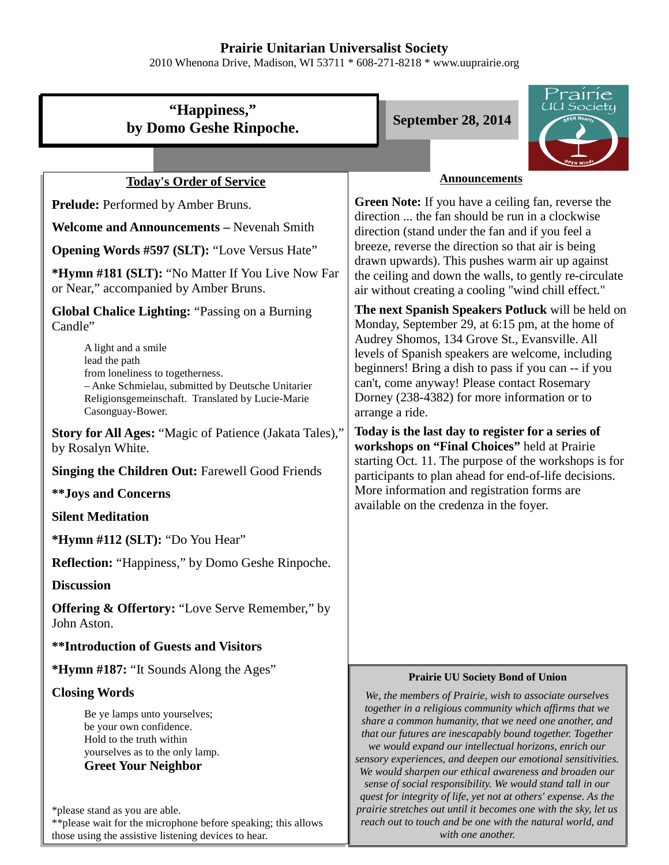## **Prairie Unitarian Universalist Society**

2010 Whenona Drive, Madison, WI 53711 \* 608-271-8218 \* www.uuprairie.org

# **"Happiness," by Domo Geshe Rinpoche.** September 28, 2014



## **Today's Order of Service**

Prelude: Performed by Amber Bruns.

**Welcome and Announcements –** Nevenah Smith

**Opening Words #597 (SLT):** "Love Versus Hate"

**\*Hymn #181 (SLT):** "No Matter If You Live Now Far or Near," accompanied by Amber Bruns.

**Global Chalice Lighting:** "Passing on a Burning Candle"

> A light and a smile lead the path from loneliness to togetherness. – Anke Schmielau, submitted by Deutsche Unitarier Religionsgemeinschaft. Translated by Lucie-Marie Casonguay-Bower.

**Story for All Ages:** "Magic of Patience (Jakata Tales)," by Rosalyn White.

**Singing the Children Out:** Farewell Good Friends

**\*\*Joys and Concerns**

### **Silent Meditation**

**\*Hymn #112 (SLT):** "Do You Hear"

**Reflection:** "Happiness," by Domo Geshe Rinpoche.

### **Discussion**

**Offering & Offertory:** "Love Serve Remember," by John Aston.

**\*\*Introduction of Guests and Visitors**

**\*Hymn #187:** "It Sounds Along the Ages"

## **Closing Words**

Be ye lamps unto yourselves; be your own confidence. Hold to the truth within yourselves as to the only lamp. **Greet Your Neighbor**

\*please stand as you are able. \*\*please wait for the microphone before speaking; this allows those using the assistive listening devices to hear.

#### **Announcements**

**Green Note:** If you have a ceiling fan, reverse the direction ... the fan should be run in a clockwise direction (stand under the fan and if you feel a breeze, reverse the direction so that air is being drawn upwards). This pushes warm air up against the ceiling and down the walls, to gently re-circulate air without creating a cooling "wind chill effect."

**The next Spanish Speakers Potluck** will be held on Monday, September 29, at 6:15 pm, at the home of Audrey Shomos, 134 Grove St., Evansville. All levels of Spanish speakers are welcome, including beginners! Bring a dish to pass if you can -- if you can't, come anyway! Please contact Rosemary Dorney (238-4382) for more information or to arrange a ride.

**Today is the last day to register for a series of workshops on "Final Choices"** held at Prairie starting Oct. 11. The purpose of the workshops is for participants to plan ahead for end-of-life decisions. More information and registration forms are available on the credenza in the foyer.

#### **Prairie UU Society Bond of Union**

*We, the members of Prairie, wish to associate ourselves together in a religious community which affirms that we share a common humanity, that we need one another, and that our futures are inescapably bound together. Together we would expand our intellectual horizons, enrich our sensory experiences, and deepen our emotional sensitivities. We would sharpen our ethical awareness and broaden our sense of social responsibility. We would stand tall in our quest for integrity of life, yet not at others' expense. As the prairie stretches out until it becomes one with the sky, let us reach out to touch and be one with the natural world, and with one another.*